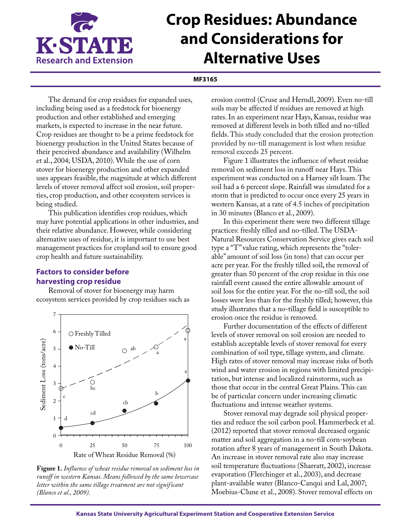

# **Crop Residues: Abundance and Considerations for Alternative Uses**

#### **MF3165**

The demand for crop residues for expanded uses, including being used as a feedstock for bioenergy production and other established and emerging markets, is expected to increase in the near future. Crop residues are thought to be a prime feedstock for bioenergy production in the United States because of their perceived abundance and availability (Wilhelm et al., 2004; USDA, 2010). While the use of corn stover for bioenergy production and other expanded uses appears feasible, the magnitude at which different levels of stover removal affect soil erosion, soil properties, crop production, and other ecosystem services is being studied.

This publication identifies crop residues, which may have potential applications in other industries, and their relative abundance. However, while considering alternative uses of residue, it is important to use best management practices for cropland soil to ensure good crop health and future sustainability.

# **Factors to consider before harvesting crop residue**

Removal of stover for bioenergy may harm ecosystem services provided by crop residues such as



**Figure 1.** *Influence of wheat residue removal on sediment loss in runoff in western Kansas. Means followed by the same lowercase letter within the same tillage treatment are not significant (Blanco et al., 2009).*

erosion control (Cruse and Herndl, 2009). Even no-till soils may be affected if residues are removed at high rates. In an experiment near Hays, Kansas, residue was removed at different levels in both tilled and no-tilled fields. This study concluded that the erosion protection provided by no-till management is lost when residue removal exceeds 25 percent.

Figure 1 illustrates the influence of wheat residue removal on sediment loss in runoff near Hays. This experiment was conducted on a Harney silt loam. The soil had a 6 percent slope. Rainfall was simulated for a storm that is predicted to occur once every 25 years in western Kansas, at a rate of 4.5 inches of precipitation in 30 minutes (Blanco et al., 2009).

In this experiment there were two different tillage practices: freshly tilled and no-tilled. The USDA-Natural Resources Conservation Service gives each soil type a "T" value rating, which represents the "tolerable" amount of soil loss (in tons) that can occur per acre per year. For the freshly tilled soil, the removal of greater than 50 percent of the crop residue in this one rainfall event caused the entire allowable amount of soil loss for the entire year. For the no-till soil, the soil losses were less than for the freshly tilled; however, this study illustrates that a no-tillage field is susceptible to erosion once the residue is removed.

Further documentation of the effects of different levels of stover removal on soil erosion are needed to establish acceptable levels of stover removal for every combination of soil type, tillage system, and climate. High rates of stover removal may increase risks of both wind and water erosion in regions with limited precipitation, but intense and localized rainstorms, such as those that occur in the central Great Plains. This can be of particular concern under increasing climatic fluctuations and intense weather systems.

Stover removal may degrade soil physical properties and reduce the soil carbon pool. Hammerbeck et al. (2012) reported that stover removal decreased organic matter and soil aggregation in a no-till corn-soybean rotation after 8 years of management in South Dakota. An increase in stover removal rate also may increase soil temperature fluctuations (Sharratt, 2002), increase evaporation (Flerchinger et al., 2003), and decrease plant-available water (Blanco-Canqui and Lal, 2007; Moebius-Clune et al., 2008). Stover removal effects on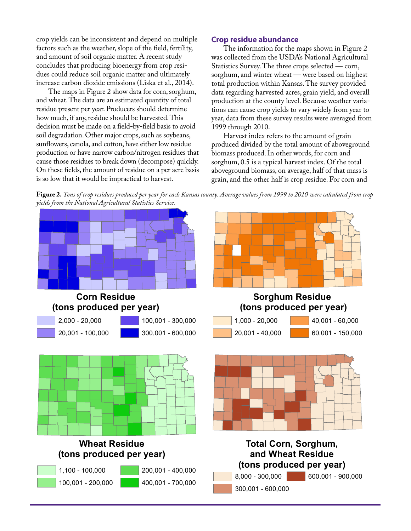crop yields can be inconsistent and depend on multiple factors such as the weather, slope of the field, fertility, and amount of soil organic matter. A recent study concludes that producing bioenergy from crop residues could reduce soil organic matter and ultimately increase carbon dioxide emissions (Liska et al., 2014).

The maps in Figure 2 show data for corn, sorghum, and wheat. The data are an estimated quantity of total residue present per year. Producers should determine how much, if any, residue should be harvested. This decision must be made on a field-by-field basis to avoid soil degradation. Other major crops, such as soybeans, sunflowers, canola, and cotton, have either low residue production or have narrow carbon/nitrogen residues that cause those residues to break down (decompose) quickly. On these fields, the amount of residue on a per acre basis is so low that it would be impractical to harvest.

#### **Crop residue abundance**

The information for the maps shown in Figure 2 was collected from the USDA's National Agricultural Statistics Survey. The three crops selected — corn, sorghum, and winter wheat — were based on highest total production within Kansas. The survey provided data regarding harvested acres, grain yield, and overall production at the county level. Because weather variations can cause crop yields to vary widely from year to year, data from these survey results were averaged from 1999 through 2010.

Harvest index refers to the amount of grain produced divided by the total amount of aboveground biomass produced. In other words, for corn and sorghum, 0.5 is a typical harvest index. Of the total aboveground biomass, on average, half of that mass is grain, and the other half is crop residue. For corn and

**Figure 2.** *Tons of crop residues produced per year for each Kansas county. Average values from 1999 to 2010 were calculated from crop yields from the National Agricultural Statistics Service.* 

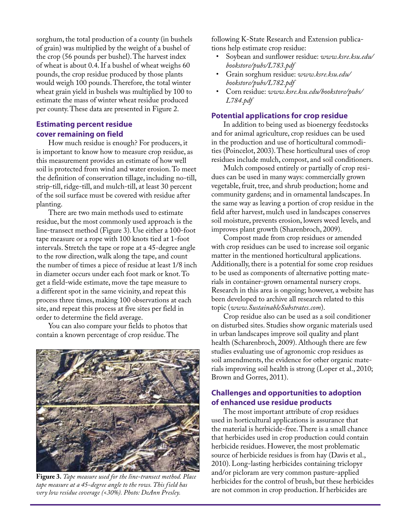sorghum, the total production of a county (in bushels of grain) was multiplied by the weight of a bushel of the crop (56 pounds per bushel). The harvest index of wheat is about 0.4. If a bushel of wheat weighs 60 pounds, the crop residue produced by those plants would weigh 100 pounds. Therefore, the total winter wheat grain yield in bushels was multiplied by 100 to estimate the mass of winter wheat residue produced per county. These data are presented in Figure 2.

#### **Estimating percent residue cover remaining on field**

How much residue is enough? For producers, it is important to know how to measure crop residue, as this measurement provides an estimate of how well soil is protected from wind and water erosion. To meet the definition of conservation tillage, including no-till, strip-till, ridge-till, and mulch-till, at least 30 percent of the soil surface must be covered with residue after planting.

There are two main methods used to estimate residue, but the most commonly used approach is the line-transect method (Figure 3). Use either a 100-foot tape measure or a rope with 100 knots tied at 1-foot intervals. Stretch the tape or rope at a 45-degree angle to the row direction, walk along the tape, and count the number of times a piece of residue at least 1/8 inch in diameter occurs under each foot mark or knot. To get a field-wide estimate, move the tape measure to a different spot in the same vicinity, and repeat this process three times, making 100 observations at each site, and repeat this process at five sites per field in order to determine the field average.

You can also compare your fields to photos that contain a known percentage of crop residue. The



**Figure 3.** *Tape measure used for the line-transect method. Place tape measure at a 45-degree angle to the rows. This field has very low residue coverage (<30%). Photo: DeAnn Presley.*

following K-State Research and Extension publications help estimate crop residue:

- Soybean and sunflower residue: *[www.ksre.ksu.edu/](www.ksre.ksu.edu/bookstore/pubs/L783.pdf) [bookstore/pubs/L783.pdf](www.ksre.ksu.edu/bookstore/pubs/L783.pdf)*
- Grain sorghum residue: *[www.ksre.ksu.edu/](http://www.ksre.ksu.edu/bookstore/pubs/L782.pdf) [bookstore/pubs/L782.pdf](http://www.ksre.ksu.edu/bookstore/pubs/L782.pdf)*
- Corn residue: *[www.ksre.ksu.edu/bookstore/pubs/](www.ksre.ksu.edu/bookstore/pubs/L784.pdf) [L784.pdf](www.ksre.ksu.edu/bookstore/pubs/L784.pdf)*

### **Potential applications for crop residue**

In addition to being used as bioenergy feedstocks and for animal agriculture, crop residues can be used in the production and use of horticultural commodities (Poincelot, 2003). These horticultural uses of crop residues include mulch, compost, and soil conditioners.

Mulch composed entirely or partially of crop residues can be used in many ways: commercially grown vegetable, fruit, tree, and shrub production; home and community gardens; and in ornamental landscapes. In the same way as leaving a portion of crop residue in the field after harvest, mulch used in landscapes conserves soil moisture, prevents erosion, lowers weed levels, and improves plant growth (Sharenbroch, 2009).

Compost made from crop residues or amended with crop residues can be used to increase soil organic matter in the mentioned horticultural applications. Additionally, there is a potential for some crop residues to be used as components of alternative potting materials in container-grown ornamental nursery crops. Research in this area is ongoing; however, a website has been developed to archive all research related to this topic (*[www.SustainableSubstrates.com](http://www.SustainableSubstrates.com)*).

Crop residue also can be used as a soil conditioner on disturbed sites. Studies show organic materials used in urban landscapes improve soil quality and plant health (Scharenbroch, 2009). Although there are few studies evaluating use of agronomic crop residues as soil amendments, the evidence for other organic materials improving soil health is strong (Loper et al., 2010; Brown and Gorres, 2011).

## **Challenges and opportunities to adoption of enhanced use residue products**

The most important attribute of crop residues used in horticultural applications is assurance that the material is herbicide-free. There is a small chance that herbicides used in crop production could contain herbicide residues. However, the most problematic source of herbicide residues is from hay (Davis et al., 2010). Long-lasting herbicides containing triclopyr and/or picloram are very common pasture-applied herbicides for the control of brush, but these herbicides are not common in crop production. If herbicides are